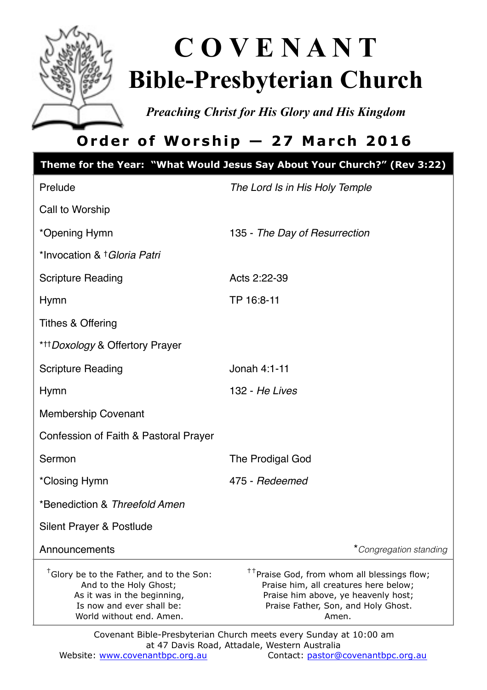

# **C O V E N A N T Bible-Presbyterian Church**

*Preaching Christ for His Glory and His Kingdom* 

# **Order of Worship — 27 March 2016**

|                                                                                                                                                                        | Theme for the Year: "What Would Jesus Say About Your Church?" (Rev 3:22)                                                                                                                |  |  |
|------------------------------------------------------------------------------------------------------------------------------------------------------------------------|-----------------------------------------------------------------------------------------------------------------------------------------------------------------------------------------|--|--|
| Prelude                                                                                                                                                                | The Lord Is in His Holy Temple                                                                                                                                                          |  |  |
| Call to Worship                                                                                                                                                        |                                                                                                                                                                                         |  |  |
| *Opening Hymn                                                                                                                                                          | 135 - The Day of Resurrection                                                                                                                                                           |  |  |
| *Invocation & † Gloria Patri                                                                                                                                           |                                                                                                                                                                                         |  |  |
| <b>Scripture Reading</b>                                                                                                                                               | Acts 2:22-39                                                                                                                                                                            |  |  |
| <b>Hymn</b>                                                                                                                                                            | TP 16:8-11                                                                                                                                                                              |  |  |
| Tithes & Offering                                                                                                                                                      |                                                                                                                                                                                         |  |  |
| ***Doxology & Offertory Prayer                                                                                                                                         |                                                                                                                                                                                         |  |  |
| <b>Scripture Reading</b>                                                                                                                                               | Jonah 4:1-11                                                                                                                                                                            |  |  |
| <b>Hymn</b>                                                                                                                                                            | 132 - He Lives                                                                                                                                                                          |  |  |
| Membership Covenant                                                                                                                                                    |                                                                                                                                                                                         |  |  |
| Confession of Faith & Pastoral Prayer                                                                                                                                  |                                                                                                                                                                                         |  |  |
| Sermon                                                                                                                                                                 | The Prodigal God                                                                                                                                                                        |  |  |
| *Closing Hymn                                                                                                                                                          | 475 - Redeemed                                                                                                                                                                          |  |  |
| *Benediction & Threefold Amen                                                                                                                                          |                                                                                                                                                                                         |  |  |
| Silent Prayer & Postlude                                                                                                                                               |                                                                                                                                                                                         |  |  |
| Announcements                                                                                                                                                          | *Congregation standing                                                                                                                                                                  |  |  |
| <sup>†</sup> Glory be to the Father, and to the Son:<br>And to the Holy Ghost;<br>As it was in the beginning,<br>Is now and ever shall be:<br>World without end. Amen. | <sup>††</sup> Praise God, from whom all blessings flow;<br>Praise him, all creatures here below;<br>Praise him above, ye heavenly host;<br>Praise Father, Son, and Holy Ghost.<br>Amen. |  |  |
| Covenant Bible-Presbyterian Church meets every Sunday at 10:00 am<br>at 47 Davis Road, Attadale, Western Australia                                                     |                                                                                                                                                                                         |  |  |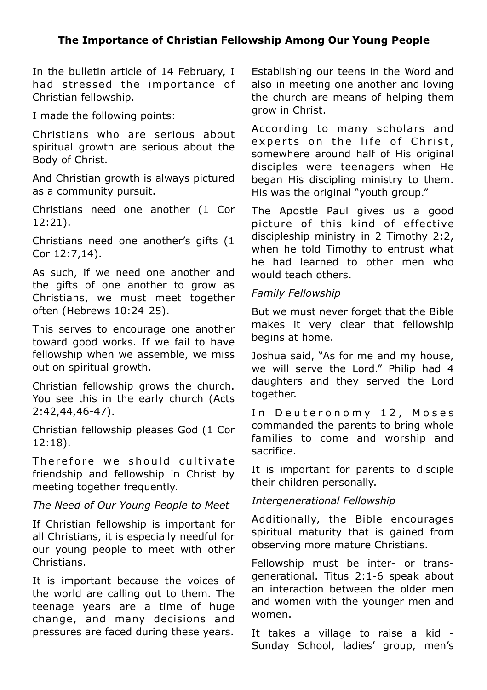#### **The Importance of Christian Fellowship Among Our Young People**

In the bulletin article of 14 February, I had stressed the importance of Christian fellowship.

I made the following points:

Christians who are serious about spiritual growth are serious about the Body of Christ.

And Christian growth is always pictured as a community pursuit.

Christians need one another (1 Cor 12:21).

Christians need one another's gifts (1 Cor 12:7,14).

As such, if we need one another and the gifts of one another to grow as Christians, we must meet together often (Hebrews 10:24-25).

This serves to encourage one another toward good works. If we fail to have fellowship when we assemble, we miss out on spiritual growth.

Christian fellowship grows the church. You see this in the early church (Acts 2:42,44,46-47).

Christian fellowship pleases God (1 Cor 12:18).

Therefore we should cultivate friendship and fellowship in Christ by meeting together frequently.

#### *The Need of Our Young People to Meet*

If Christian fellowship is important for all Christians, it is especially needful for our young people to meet with other Christians.

It is important because the voices of the world are calling out to them. The teenage years are a time of huge change, and many decisions and pressures are faced during these years.

Establishing our teens in the Word and also in meeting one another and loving the church are means of helping them grow in Christ.

According to many scholars and experts on the life of Christ, somewhere around half of His original disciples were teenagers when He began His discipling ministry to them. His was the original "youth group."

The Apostle Paul gives us a good picture of this kind of effective discipleship ministry in 2 Timothy 2:2, when he told Timothy to entrust what he had learned to other men who would teach others.

#### *Family Fellowship*

But we must never forget that the Bible makes it very clear that fellowship begins at home.

Joshua said, "As for me and my house, we will serve the Lord." Philip had 4 daughters and they served the Lord together.

In Deuteronomy 12, Moses commanded the parents to bring whole families to come and worship and sacrifice.

It is important for parents to disciple their children personally.

#### *Intergenerational Fellowship*

Additionally, the Bible encourages spiritual maturity that is gained from observing more mature Christians.

Fellowship must be inter- or transgenerational. Titus 2:1-6 speak about an interaction between the older men and women with the younger men and women.

It takes a village to raise a kid - Sunday School, ladies' group, men's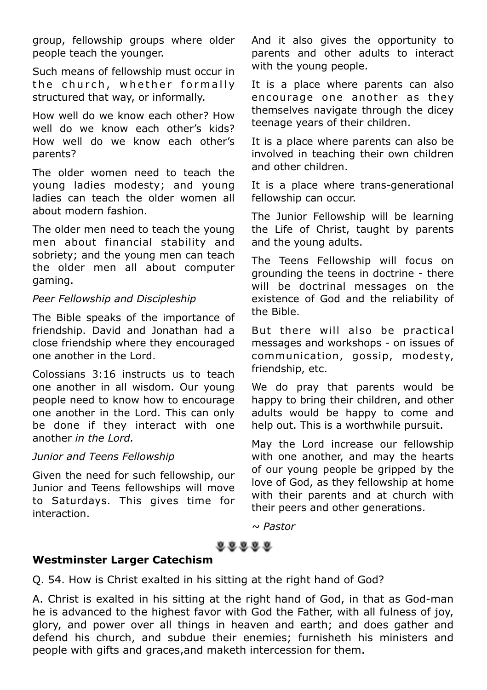group, fellowship groups where older people teach the younger.

Such means of fellowship must occur in the church, whether formally structured that way, or informally.

How well do we know each other? How well do we know each other's kids? How well do we know each other's parents?

The older women need to teach the young ladies modesty; and young ladies can teach the older women all about modern fashion.

The older men need to teach the young men about financial stability and sobriety; and the young men can teach the older men all about computer gaming.

#### *Peer Fellowship and Discipleship*

The Bible speaks of the importance of friendship. David and Jonathan had a close friendship where they encouraged one another in the Lord.

Colossians 3:16 instructs us to teach one another in all wisdom. Our young people need to know how to encourage one another in the Lord. This can only be done if they interact with one another *in the Lord.*

#### *Junior and Teens Fellowship*

Given the need for such fellowship, our Junior and Teens fellowships will move to Saturdays. This gives time for interaction.

And it also gives the opportunity to parents and other adults to interact with the young people.

It is a place where parents can also en courage one another as they themselves navigate through the dicey teenage years of their children.

It is a place where parents can also be involved in teaching their own children and other children.

It is a place where trans-generational fellowship can occur.

The Junior Fellowship will be learning the Life of Christ, taught by parents and the young adults.

The Teens Fellowship will focus on grounding the teens in doctrine - there will be doctrinal messages on the existence of God and the reliability of the Bible.

But there will also be practical messages and workshops - on issues of communication, gossip, modesty, friendship, etc.

We do pray that parents would be happy to bring their children, and other adults would be happy to come and help out. This is a worthwhile pursuit.

May the Lord increase our fellowship with one another, and may the hearts of our young people be gripped by the love of God, as they fellowship at home with their parents and at church with their peers and other generations.

*~ Pastor*

### 88888

#### **Westminster Larger Catechism**

Q. 54. How is Christ exalted in his sitting at the right hand of God?

A. Christ is exalted in his sitting at the right hand of God, in that as God-man he is advanced to the highest favor with God the Father, with all fulness of joy, glory, and power over all things in heaven and earth; and does gather and defend his church, and subdue their enemies; furnisheth his ministers and people with gifts and graces,and maketh intercession for them.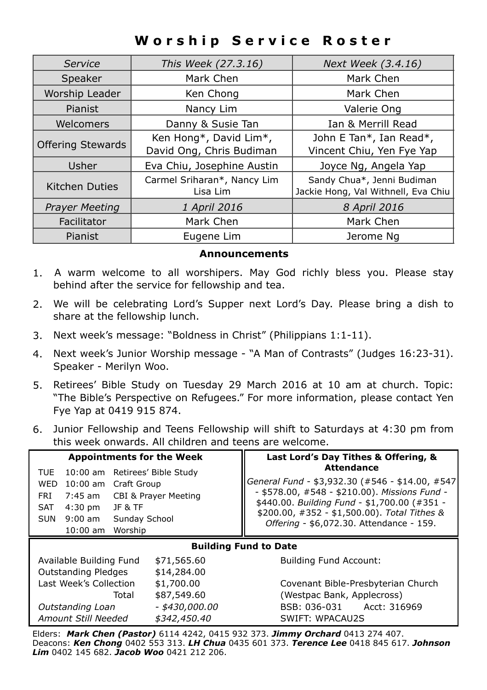## **Worship Service Roster**

| Service                  | This Week (27.3.16)                     | Next Week (3.4.16)                                                |
|--------------------------|-----------------------------------------|-------------------------------------------------------------------|
| Speaker                  | Mark Chen                               | Mark Chen                                                         |
| Worship Leader           | Ken Chong                               | Mark Chen                                                         |
| Pianist                  | Nancy Lim                               | Valerie Ong                                                       |
| Welcomers                | Danny & Susie Tan                       | Ian & Merrill Read                                                |
| <b>Offering Stewards</b> | Ken Hong*, David Lim*,                  | John E Tan*, Ian Read*,                                           |
|                          | David Ong, Chris Budiman                | Vincent Chiu, Yen Fye Yap                                         |
| Usher                    | Eva Chiu, Josephine Austin              | Joyce Ng, Angela Yap                                              |
| <b>Kitchen Duties</b>    | Carmel Sriharan*, Nancy Lim<br>Lisa Lim | Sandy Chua*, Jenni Budiman<br>Jackie Hong, Val Withnell, Eva Chiu |
| <b>Prayer Meeting</b>    | 1 April 2016                            | 8 April 2016                                                      |
| Facilitator              | Mark Chen                               | Mark Chen                                                         |
| Pianist                  | Eugene Lim                              | Jerome Na                                                         |

#### **Announcements**

- 1. A warm welcome to all worshipers. May God richly bless you. Please stay behind after the service for fellowship and tea.
- 2. We will be celebrating Lord's Supper next Lord's Day. Please bring a dish to share at the fellowship lunch.
- 3. Next week's message: "Boldness in Christ" (Philippians 1:1-11).
- 4. Next week's Junior Worship message "A Man of Contrasts" (Judges 16:23-31). Speaker - Merilyn Woo.
- 5. Retirees' Bible Study on Tuesday 29 March 2016 at 10 am at church. Topic: "The Bible's Perspective on Refugees." For more information, please contact Yen Fye Yap at 0419 915 874.
- 6. Junior Fellowship and Teens Fellowship will shift to Saturdays at 4:30 pm from this week onwards. All children and teens are welcome.

| <b>Appointments for the Week</b>                                                                                                                                                                                        |                      | Last Lord's Day Tithes & Offering, &                                                                                                                                                                                                                                 |  |  |
|-------------------------------------------------------------------------------------------------------------------------------------------------------------------------------------------------------------------------|----------------------|----------------------------------------------------------------------------------------------------------------------------------------------------------------------------------------------------------------------------------------------------------------------|--|--|
| TUE<br>10:00 am Retirees' Bible Study<br>$10:00$ am<br>Craft Group<br><b>WED</b><br>FRI<br>7:45 am<br>$4:30 \text{ pm}$<br><b>SAT</b><br><b>JF &amp; TF</b><br>$9:00$ am<br>Sunday School<br>SUN<br>Worship<br>10:00 am | CBI & Prayer Meeting | <b>Attendance</b><br>General Fund - \$3,932.30 (#546 - \$14.00, #547<br>- \$578.00, #548 - \$210.00). Missions Fund -<br>\$440.00. Building Fund - \$1,700.00 (#351 -<br>\$200.00, $\#352 - $1,500.00$ ). Total Tithes &<br>Offering - \$6,072.30. Attendance - 159. |  |  |
| <b>Building Fund to Date</b>                                                                                                                                                                                            |                      |                                                                                                                                                                                                                                                                      |  |  |
| Available Building Fund                                                                                                                                                                                                 | \$71,565.60          | <b>Building Fund Account:</b>                                                                                                                                                                                                                                        |  |  |
| <b>Outstanding Pledges</b>                                                                                                                                                                                              | \$14,284.00          |                                                                                                                                                                                                                                                                      |  |  |
| Last Week's Collection                                                                                                                                                                                                  | \$1,700.00           | Covenant Bible-Presbyterian Church                                                                                                                                                                                                                                   |  |  |
| Total                                                                                                                                                                                                                   | \$87,549.60          | (Westpac Bank, Applecross)                                                                                                                                                                                                                                           |  |  |
| Outstanding Loan                                                                                                                                                                                                        | - \$430,000.00       | BSB: 036-031 Acct: 316969                                                                                                                                                                                                                                            |  |  |
| Amount Still Needed                                                                                                                                                                                                     | \$342,450.40         | SWIFT: WPACAU2S                                                                                                                                                                                                                                                      |  |  |

Elders: *Mark Chen (Pastor)* 6114 4242, 0415 932 373. *Jimmy Orchard* 0413 274 407. Deacons: *Ken Chong* 0402 553 313. *LH Chua* 0435 601 373. *Terence Lee* 0418 845 617. *Johnson Lim* 0402 145 682. *Jacob Woo* 0421 212 206.